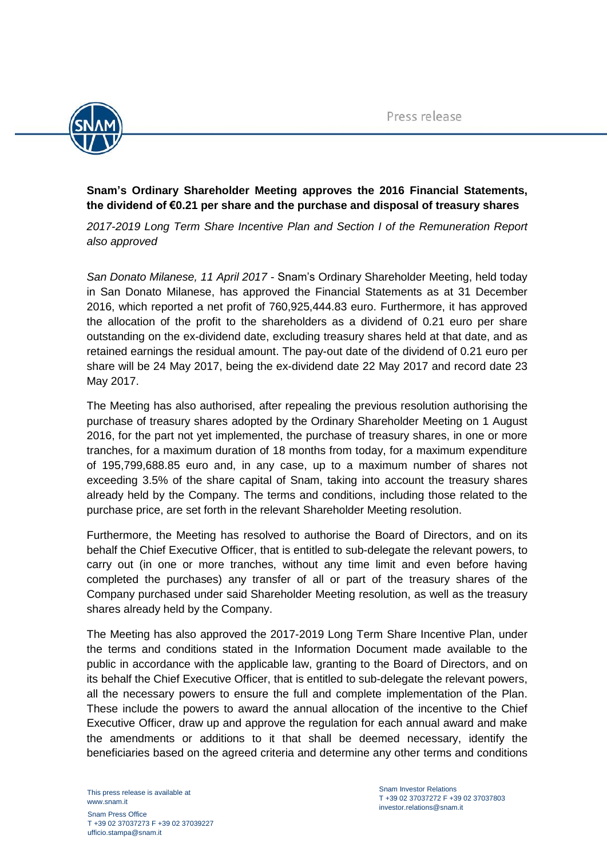

## **Snam's Ordinary Shareholder Meeting approves the 2016 Financial Statements, the dividend of €0.21 per share and the purchase and disposal of treasury shares**

*2017-2019 Long Term Share Incentive Plan and Section I of the Remuneration Report also approved*

*San Donato Milanese, 11 April 2017* - Snam's Ordinary Shareholder Meeting, held today in San Donato Milanese, has approved the Financial Statements as at 31 December 2016, which reported a net profit of 760,925,444.83 euro. Furthermore, it has approved the allocation of the profit to the shareholders as a dividend of 0.21 euro per share outstanding on the ex-dividend date, excluding treasury shares held at that date, and as retained earnings the residual amount. The pay-out date of the dividend of 0.21 euro per share will be 24 May 2017, being the ex-dividend date 22 May 2017 and record date 23 May 2017.

The Meeting has also authorised, after repealing the previous resolution authorising the purchase of treasury shares adopted by the Ordinary Shareholder Meeting on 1 August 2016, for the part not yet implemented, the purchase of treasury shares, in one or more tranches, for a maximum duration of 18 months from today, for a maximum expenditure of 195,799,688.85 euro and, in any case, up to a maximum number of shares not exceeding 3.5% of the share capital of Snam, taking into account the treasury shares already held by the Company. The terms and conditions, including those related to the purchase price, are set forth in the relevant Shareholder Meeting resolution.

Furthermore, the Meeting has resolved to authorise the Board of Directors, and on its behalf the Chief Executive Officer, that is entitled to sub-delegate the relevant powers, to carry out (in one or more tranches, without any time limit and even before having completed the purchases) any transfer of all or part of the treasury shares of the Company purchased under said Shareholder Meeting resolution, as well as the treasury shares already held by the Company.

The Meeting has also approved the 2017-2019 Long Term Share Incentive Plan, under the terms and conditions stated in the Information Document made available to the public in accordance with the applicable law, granting to the Board of Directors, and on its behalf the Chief Executive Officer, that is entitled to sub-delegate the relevant powers, all the necessary powers to ensure the full and complete implementation of the Plan. These include the powers to award the annual allocation of the incentive to the Chief Executive Officer, draw up and approve the regulation for each annual award and make the amendments or additions to it that shall be deemed necessary, identify the beneficiaries based on the agreed criteria and determine any other terms and conditions